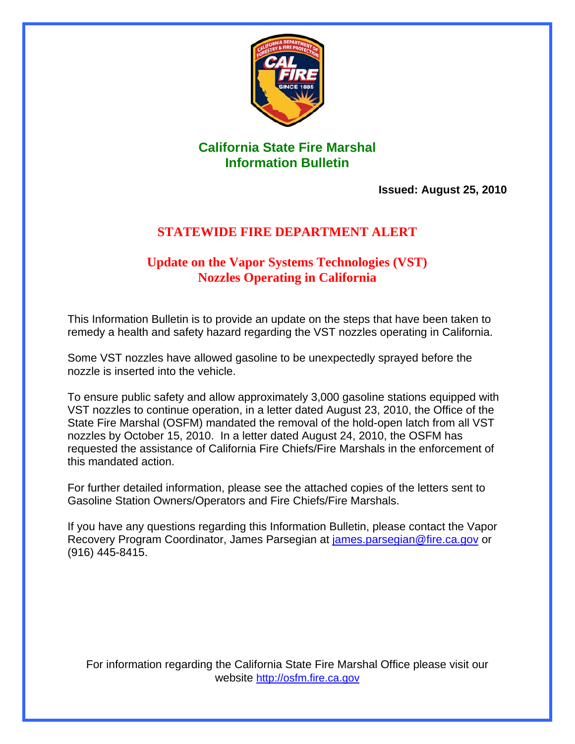

### **California State Fire Marshal Information Bulletin**

**Issued: August 25, 2010** 

### **STATEWIDE FIRE DEPARTMENT ALERT**

### **Update on the Vapor Systems Technologies (VST) Nozzles Operating in California**

This Information Bulletin is to provide an update on the steps that have been taken to remedy a health and safety hazard regarding the VST nozzles operating in California.

Some VST nozzles have allowed gasoline to be unexpectedly sprayed before the nozzle is inserted into the vehicle.

To ensure public safety and allow approximately 3,000 gasoline stations equipped with VST nozzles to continue operation, in a letter dated August 23, 2010, the Office of the State Fire Marshal (OSFM) mandated the removal of the hold-open latch from all VST nozzles by October 15, 2010. In a letter dated August 24, 2010, the OSFM has requested the assistance of California Fire Chiefs/Fire Marshals in the enforcement of this mandated action.

For further detailed information, please see the attached copies of the letters sent to Gasoline Station Owners/Operators and Fire Chiefs/Fire Marshals.

If you have any questions regarding this Information Bulletin, please contact the Vapor Recovery Program Coordinator, James Parsegian at [james.parsegian@fire.ca.gov](mailto:james.parsegian@fire.ca.gov) or (916) 445-8415.

For information regarding the California State Fire Marshal Office please visit our website http://osfm.fire.ca.gov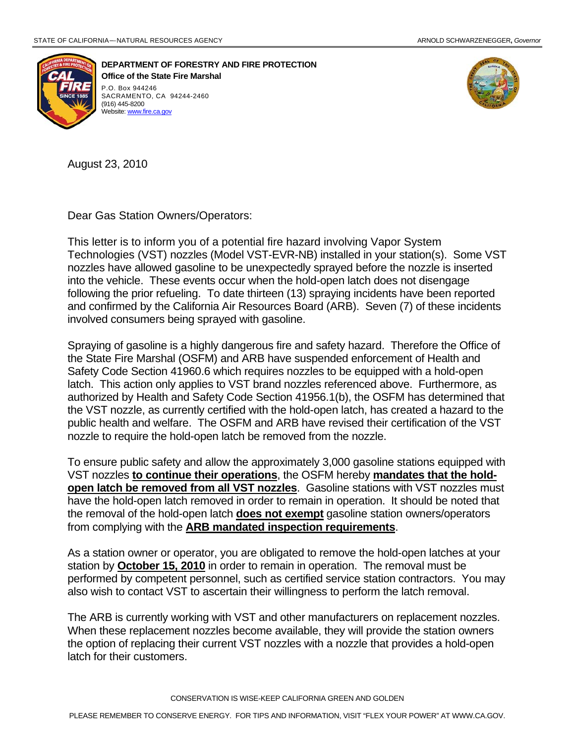

 **DEPARTMENT OF FORESTRY AND FIRE PROTECTION of the State Fire Marshal Office**  SACRAMENTO, CA 94244-2460 (916) 445-8200 Website: www.fire.ca.gov



August 23, 2010

Dear Gas Station Owners/Operators:

This letter is to inform you of a potential fire hazard involving Vapor System Technologies (VST) nozzles (Model VST-EVR-NB) installed in your station(s). Some VST nozzles have allowed gasoline to be unexpectedly sprayed before the nozzle is inserted into the vehicle. These events occur when the hold-open latch does not disengage following the prior refueling. To date thirteen (13) spraying incidents have been reported and confirmed by the California Air Resources Board (ARB). Seven (7) of these incidents involved consumers being sprayed with gasoline.

Spraying of gasoline is a highly dangerous fire and safety hazard. Therefore the Office of the State Fire Marshal (OSFM) and ARB have suspended enforcement of Health and Safety Code Section 41960.6 which requires nozzles to be equipped with a hold-open latch. This action only applies to VST brand nozzles referenced above. Furthermore, as authorized by Health and Safety Code Section 41956.1(b), the OSFM has determined that the VST nozzle, as currently certified with the hold-open latch, has created a hazard to the public health and welfare. The OSFM and ARB have revised their certification of the VST nozzle to require the hold-open latch be removed from the nozzle.

To ensure public safety and allow the approximately 3,000 gasoline stations equipped with VST nozzles **to continue their operations**, the OSFM hereby **mandates that the holdopen latch be removed from all VST nozzles**. Gasoline stations with VST nozzles must have the hold-open latch removed in order to remain in operation. It should be noted that the removal of the hold-open latch **does not exempt** gasoline station owners/operators from complying with the **ARB mandated inspection requirements**.

As a station owner or operator, you are obligated to remove the hold-open latches at your station by **October 15, 2010** in order to remain in operation. The removal must be performed by competent personnel, such as certified service station contractors. You may also wish to contact VST to ascertain their willingness to perform the latch removal.

The ARB is currently working with VST and other manufacturers on replacement nozzles. When these replacement nozzles become available, they will provide the station owners the option of replacing their current VST nozzles with a nozzle that provides a hold-open latch for their customers.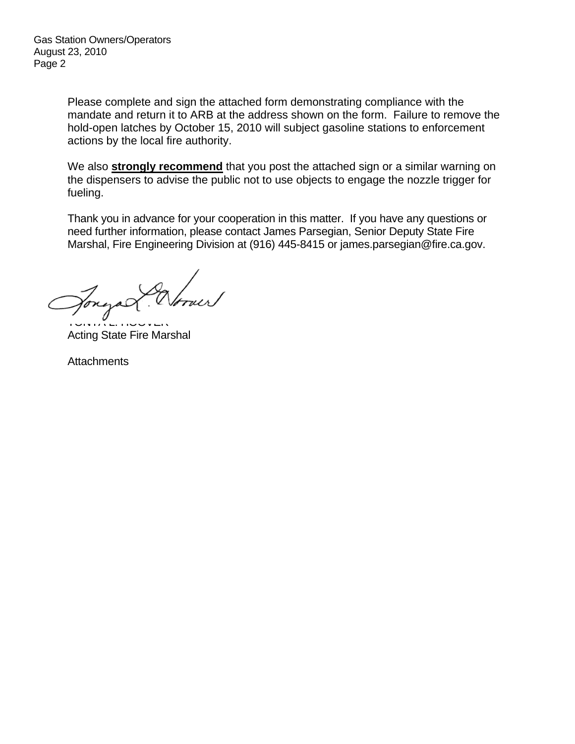Gas Station Owners/Operators August 23, 2010 Page 2

> Please complete and sign the attached form demonstrating compliance with the mandate and return it to ARB at the address shown on the form. Failure to remove the hold-open latches by October 15, 2010 will subject gasoline stations to enforcement actions by the local fire authority.

> We also **strongly recommend** that you post the attached sign or a similar warning on the dispensers to advise the public not to use objects to engage the nozzle trigger for fueling.

Thank you in advance for your cooperation in this matter. If you have any questions or need further information, please contact James Parsegian, Senior Deputy State Fire Marshal, Fire Engineering Division at (916) 445-8415 or james.parsegian@fire.ca.gov.

Jongal

Acting State Fire Marshal TONYA L. HOOVER

**Attachments**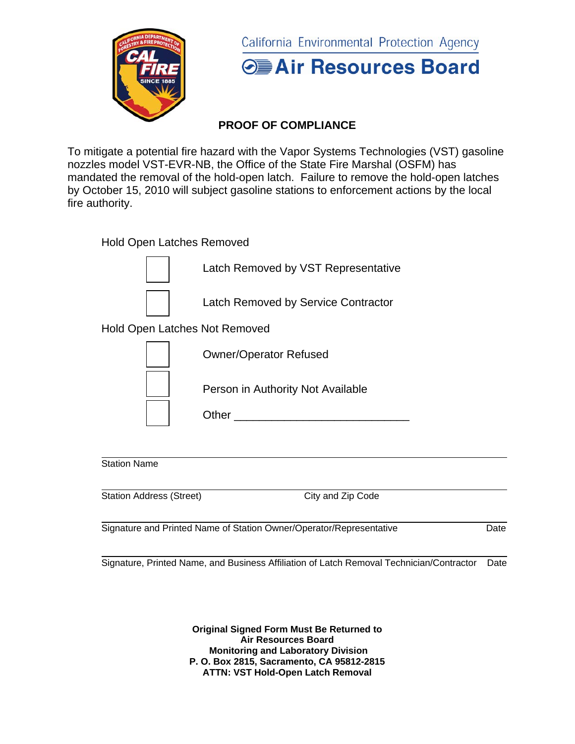

California Environmental Protection Agency



### **PROOF OF COMPLIANCE**

To mitigate a potential fire hazard with the Vapor Systems Technologies (VST) gasoline nozzles model VST-EVR-NB, the Office of the State Fire Marshal (OSFM) has mandated the removal of the hold-open latch. Failure to remove the hold-open latches by October 15, 2010 will subject gasoline stations to enforcement actions by the local fire authority.

Hold Open Latches Removed

Latch Removed by VST Representative

Latch Removed by Service Contractor

Hold Open Latches Not Removed



Station Name

| <b>Station Address (Street)</b> | City and Zip Code |
|---------------------------------|-------------------|
|                                 |                   |

Signature and Printed Name of Station Owner/Operator/Representative Date

Signature, Printed Name, and Business Affiliation of Latch Removal Technician/Contractor Date

**Original Signed Form Must Be Returned to Air Resources Board Monitoring and Laboratory Division P. O. Box 2815, Sacramento, CA 95812-2815 ATTN: VST Hold-Open Latch Removal**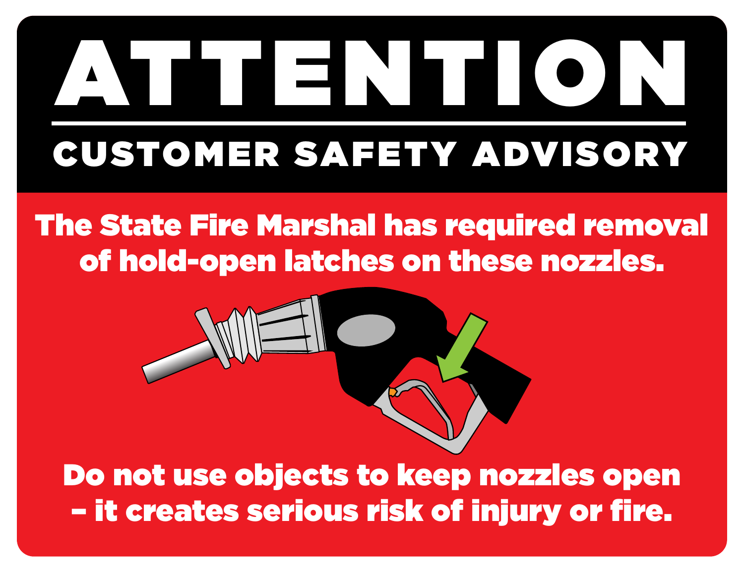# ATTENTION CUSTOMER SAFETY ADVISORY

## The State Fire Marshal has required removal of hold-open latches on these nozzles.



Do not use objects to keep nozzles open – it creates serious risk of injury or fire.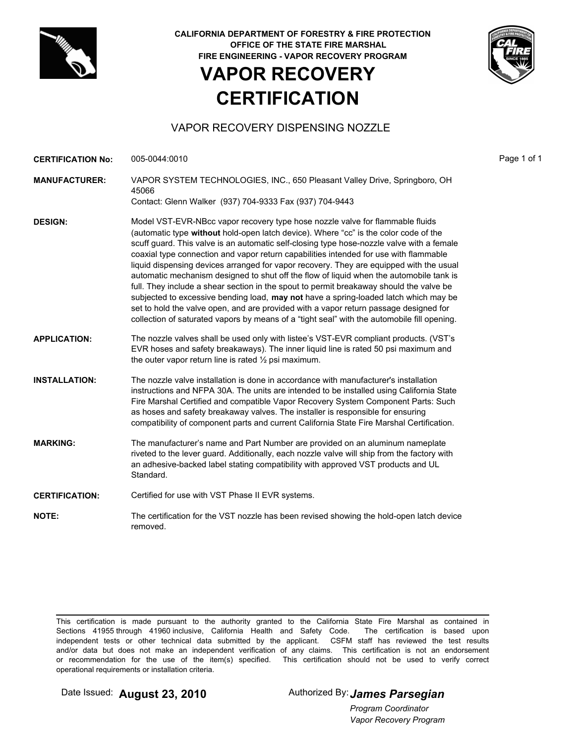

**CALIFORNIA DEPARTMENT OF FORESTRY & FIRE PROTECTION OFFICE OF THE STATE FIRE MARSHAL FIRE ENGINEERING - VAPOR RECOVERY PROGRAM**

### **VAPOR RECOVERY CERTIFICATION**



#### VAPOR RECOVERY DISPENSING NOZZLE

| <b>CERTIFICATION No:</b> | 005-0044:0010                                                                                                                                                                                                                                                                                                                                                                                                                                                                                                                                                                                                                                                                                                                                                                                                                                                                                                                | Page 1 of 1 |
|--------------------------|------------------------------------------------------------------------------------------------------------------------------------------------------------------------------------------------------------------------------------------------------------------------------------------------------------------------------------------------------------------------------------------------------------------------------------------------------------------------------------------------------------------------------------------------------------------------------------------------------------------------------------------------------------------------------------------------------------------------------------------------------------------------------------------------------------------------------------------------------------------------------------------------------------------------------|-------------|
| <b>MANUFACTURER:</b>     | VAPOR SYSTEM TECHNOLOGIES, INC., 650 Pleasant Valley Drive, Springboro, OH<br>45066                                                                                                                                                                                                                                                                                                                                                                                                                                                                                                                                                                                                                                                                                                                                                                                                                                          |             |
|                          | Contact: Glenn Walker (937) 704-9333 Fax (937) 704-9443                                                                                                                                                                                                                                                                                                                                                                                                                                                                                                                                                                                                                                                                                                                                                                                                                                                                      |             |
| <b>DESIGN:</b>           | Model VST-EVR-NBcc vapor recovery type hose nozzle valve for flammable fluids<br>(automatic type without hold-open latch device). Where "cc" is the color code of the<br>scuff guard. This valve is an automatic self-closing type hose-nozzle valve with a female<br>coaxial type connection and vapor return capabilities intended for use with flammable<br>liquid dispensing devices arranged for vapor recovery. They are equipped with the usual<br>automatic mechanism designed to shut off the flow of liquid when the automobile tank is<br>full. They include a shear section in the spout to permit breakaway should the valve be<br>subjected to excessive bending load, may not have a spring-loaded latch which may be<br>set to hold the valve open, and are provided with a vapor return passage designed for<br>collection of saturated vapors by means of a "tight seal" with the automobile fill opening. |             |
| <b>APPLICATION:</b>      | The nozzle valves shall be used only with listee's VST-EVR compliant products. (VST's<br>EVR hoses and safety breakaways). The inner liquid line is rated 50 psi maximum and<br>the outer vapor return line is rated $\frac{1}{2}$ psi maximum.                                                                                                                                                                                                                                                                                                                                                                                                                                                                                                                                                                                                                                                                              |             |
| <b>INSTALLATION:</b>     | The nozzle valve installation is done in accordance with manufacturer's installation<br>instructions and NFPA 30A. The units are intended to be installed using California State<br>Fire Marshal Certified and compatible Vapor Recovery System Component Parts: Such<br>as hoses and safety breakaway valves. The installer is responsible for ensuring<br>compatibility of component parts and current California State Fire Marshal Certification.                                                                                                                                                                                                                                                                                                                                                                                                                                                                        |             |
| <b>MARKING:</b>          | The manufacturer's name and Part Number are provided on an aluminum nameplate<br>riveted to the lever guard. Additionally, each nozzle valve will ship from the factory with<br>an adhesive-backed label stating compatibility with approved VST products and UL<br>Standard.                                                                                                                                                                                                                                                                                                                                                                                                                                                                                                                                                                                                                                                |             |
| <b>CERTIFICATION:</b>    | Certified for use with VST Phase II EVR systems.                                                                                                                                                                                                                                                                                                                                                                                                                                                                                                                                                                                                                                                                                                                                                                                                                                                                             |             |
| <b>NOTE:</b>             | The certification for the VST nozzle has been revised showing the hold-open latch device<br>removed.                                                                                                                                                                                                                                                                                                                                                                                                                                                                                                                                                                                                                                                                                                                                                                                                                         |             |

This certification is made pursuant to the authority granted to the California State Fire Marshal as contained in Sections 41955 through 41960 inclusive, California Health and Safety Code. The certification is based upon independent tests or other technical data submitted by the applicant. CSFM staff has reviewed the test results and/or data but does not make an independent verification of any claims. This certification is not an endorsement or recommendation for the use of the item(s) specified. This certification should not be used to verify correct operational requirements or installation criteria.

Date Issued: **August 23, 2010** Authorized By: **James Parsegian** 

*Vapor Recovery Program Program Coordinator*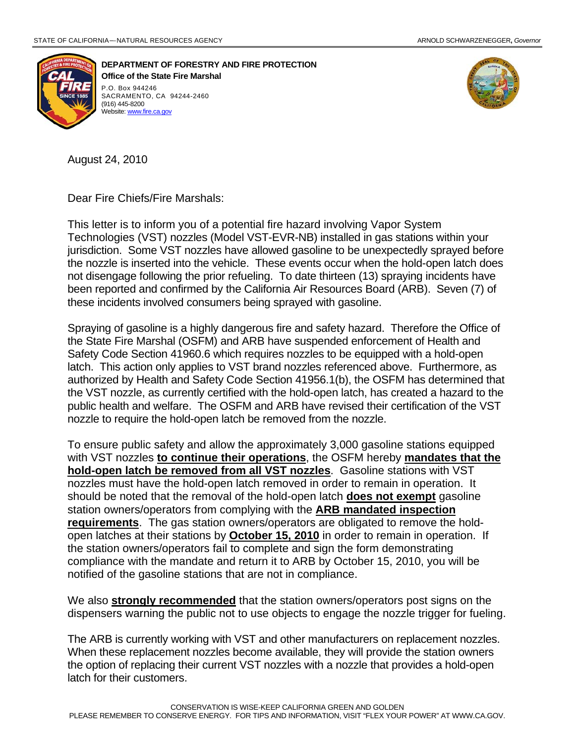

 **DEPARTMENT OF FORESTRY AND FIRE PROTECTION Office of the State Fire Marshal**  P.O. Box 944246 SACRAMENTO, CA 94244-2460 (916) 445-8200 Website: www.fire.ca.gov



August 24, 2010

Dear Fire Chiefs/Fire Marshals:

This letter is to inform you of a potential fire hazard involving Vapor System Technologies (VST) nozzles (Model VST-EVR-NB) installed in gas stations within your jurisdiction. Some VST nozzles have allowed gasoline to be unexpectedly sprayed before the nozzle is inserted into the vehicle. These events occur when the hold-open latch does not disengage following the prior refueling. To date thirteen (13) spraying incidents have been reported and confirmed by the California Air Resources Board (ARB). Seven (7) of these incidents involved consumers being sprayed with gasoline.

Spraying of gasoline is a highly dangerous fire and safety hazard. Therefore the Office of the State Fire Marshal (OSFM) and ARB have suspended enforcement of Health and Safety Code Section 41960.6 which requires nozzles to be equipped with a hold-open latch. This action only applies to VST brand nozzles referenced above. Furthermore, as authorized by Health and Safety Code Section 41956.1(b), the OSFM has determined that the VST nozzle, as currently certified with the hold-open latch, has created a hazard to the public health and welfare. The OSFM and ARB have revised their certification of the VST nozzle to require the hold-open latch be removed from the nozzle.

To ensure public safety and allow the approximately 3,000 gasoline stations equipped with VST nozzles **to continue their operations**, the OSFM hereby **mandates that the hold-open latch be removed from all VST nozzles**. Gasoline stations with VST nozzles must have the hold-open latch removed in order to remain in operation. It should be noted that the removal of the hold-open latch **does not exempt** gasoline station owners/operators from complying with the **ARB mandated inspection requirements**. The gas station owners/operators are obligated to remove the holdopen latches at their stations by **October 15, 2010** in order to remain in operation. If the station owners/operators fail to complete and sign the form demonstrating compliance with the mandate and return it to ARB by October 15, 2010, you will be notified of the gasoline stations that are not in compliance.

We also **strongly recommended** that the station owners/operators post signs on the dispensers warning the public not to use objects to engage the nozzle trigger for fueling.

The ARB is currently working with VST and other manufacturers on replacement nozzles. When these replacement nozzles become available, they will provide the station owners the option of replacing their current VST nozzles with a nozzle that provides a hold-open latch for their customers.